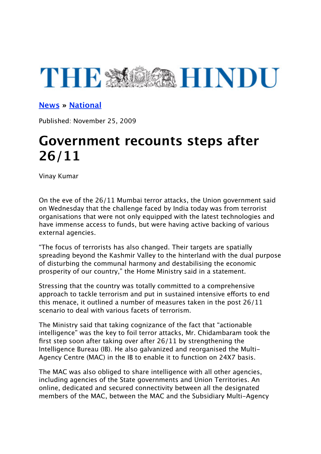

**[News](http://www.thehindu.com/news/) » [National](http://www.thehindu.com/news/national/)**

Published: November 25, 2009

## **Government recounts steps after 26/11**

Vinay Kumar

On the eve of the 26/11 Mumbai terror attacks, the Union government said on Wednesday that the challenge faced by India today was from terrorist organisations that were not only equipped with the latest technologies and have immense access to funds, but were having active backing of various external agencies.

"The focus of terrorists has also changed. Their targets are spatially spreading beyond the Kashmir Valley to the hinterland with the dual purpose of disturbing the communal harmony and destabilising the economic prosperity of our country," the Home Ministry said in a statement.

Stressing that the country was totally committed to a comprehensive approach to tackle terrorism and put in sustained intensive eforts to end this menace, it outlined a number of measures taken in the post 26/11 scenario to deal with various facets of terrorism.

The Ministry said that taking cognizance of the fact that "actionable intelligence" was the key to foil terror attacks, Mr. Chidambaram took the first step soon after taking over after 26/11 by strengthening the Intelligence Bureau (IB). He also galvanized and reorganised the Multi-Agency Centre (MAC) in the IB to enable it to function on 24X7 basis.

The MAC was also obliged to share intelligence with all other agencies, including agencies of the State governments and Union Territories. An online, dedicated and secured connectivity between all the designated members of the MAC, between the MAC and the Subsidiary Multi-Agency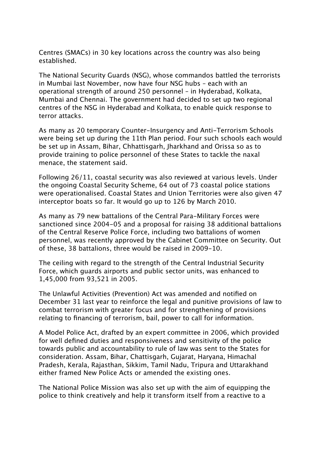Centres (SMACs) in 30 key locations across the country was also being established.

The National Security Guards (NSG), whose commandos battled the terrorists in Mumbai last November, now have four NSG hubs – each with an operational strength of around 250 personnel – in Hyderabad, Kolkata, Mumbai and Chennai. The government had decided to set up two regional centres of the NSG in Hyderabad and Kolkata, to enable quick response to terror attacks.

As many as 20 temporary Counter-Insurgency and Anti-Terrorism Schools were being set up during the 11th Plan period. Four such schools each would be set up in Assam, Bihar, Chhattisgarh, Jharkhand and Orissa so as to provide training to police personnel of these States to tackle the naxal menace, the statement said.

Following 26/11, coastal security was also reviewed at various levels. Under the ongoing Coastal Security Scheme, 64 out of 73 coastal police stations were operationalised. Coastal States and Union Territories were also given 47 interceptor boats so far. It would go up to 126 by March 2010.

As many as 79 new battalions of the Central Para-Military Forces were sanctioned since 2004-05 and a proposal for raising 38 additional battalions of the Central Reserve Police Force, including two battalions of women personnel, was recently approved by the Cabinet Committee on Security. Out of these, 38 battalions, three would be raised in 2009-10.

The ceiling with regard to the strength of the Central Industrial Security Force, which guards airports and public sector units, was enhanced to 1,45,000 from 93,521 in 2005.

The Unlawful Activities (Prevention) Act was amended and notified on December 31 last year to reinforce the legal and punitive provisions of law to combat terrorism with greater focus and for strengthening of provisions relating to financing of terrorism, bail, power to call for information.

A Model Police Act, drafted by an expert committee in 2006, which provided for well defined duties and responsiveness and sensitivity of the police towards public and accountability to rule of law was sent to the States for consideration. Assam, Bihar, Chattisgarh, Gujarat, Haryana, Himachal Pradesh, Kerala, Rajasthan, Sikkim, Tamil Nadu, Tripura and Uttarakhand either framed New Police Acts or amended the existing ones.

The National Police Mission was also set up with the aim of equipping the police to think creatively and help it transform itself from a reactive to a